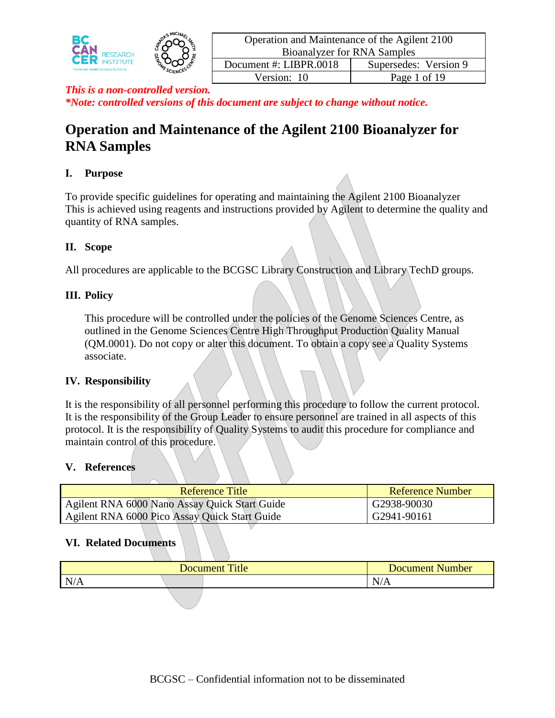

# **Operation and Maintenance of the Agilent 2100 Bioanalyzer for RNA Samples**

# **I. Purpose**

To provide specific guidelines for operating and maintaining the Agilent 2100 Bioanalyzer This is achieved using reagents and instructions provided by Agilent to determine the quality and quantity of RNA samples.

# **II. Scope**

All procedures are applicable to the BCGSC Library Construction and Library TechD groups.

# **III. Policy**

This procedure will be controlled under the policies of the Genome Sciences Centre, as outlined in the Genome Sciences Centre High Throughput Production Quality Manual (QM.0001). Do not copy or alter this document. To obtain a copy see a Quality Systems associate.

# **IV. Responsibility**

It is the responsibility of all personnel performing this procedure to follow the current protocol. It is the responsibility of the Group Leader to ensure personnel are trained in all aspects of this protocol. It is the responsibility of Quality Systems to audit this procedure for compliance and maintain control of this procedure.

# **V. References**

| Reference Title                               | Reference Number |
|-----------------------------------------------|------------------|
| Agilent RNA 6000 Nano Assay Quick Start Guide | G2938-90030      |
| Agilent RNA 6000 Pico Assay Quick Start Guide | G2941-90161      |

# **VI. Related Documents**

|           | √umber<br>Document |  |                                       |
|-----------|--------------------|--|---------------------------------------|
| N/<br>N/A |                    |  | $\sim$ $\sim$<br>$\mathbf{N}$<br>IN/A |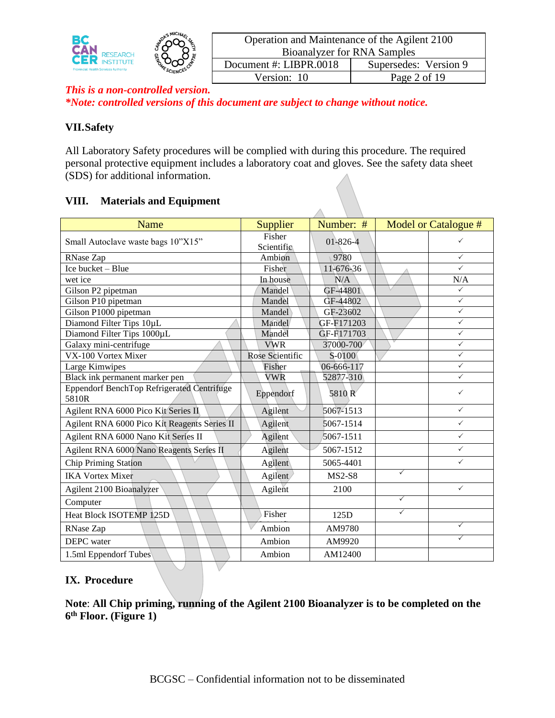

| Operation and Maintenance of the Agilent 2100 |                       |  |  |  |  |  |  |
|-----------------------------------------------|-----------------------|--|--|--|--|--|--|
| <b>Bioanalyzer for RNA Samples</b>            |                       |  |  |  |  |  |  |
| Document #: LIBPR.0018                        | Supersedes: Version 9 |  |  |  |  |  |  |
| Version: 10                                   | Page 2 of 19          |  |  |  |  |  |  |
|                                               |                       |  |  |  |  |  |  |

### **VII.Safety**

All Laboratory Safety procedures will be complied with during this procedure. The required personal protective equipment includes a laboratory coat and gloves. See the safety data sheet (SDS) for additional information.

### **VIII. Materials and Equipment**

| Name                                                       | <b>Supplier</b>      | Number: #        |              | Model or Catalogue # |
|------------------------------------------------------------|----------------------|------------------|--------------|----------------------|
| Small Autoclave waste bags 10"X15"                         | Fisher<br>Scientific | 01-826-4         |              | ✓                    |
| RNase Zap                                                  | Ambion               | 9780             |              | $\checkmark$         |
| Ice bucket – Blue                                          | Fisher               | 11-676-36        |              | $\checkmark$         |
| wet ice                                                    | In house             | N/A              |              | N/A                  |
| Gilson P2 pipetman                                         | Mandel               | GF-44801         |              | $\checkmark$         |
| Gilson P10 pipetman                                        | Mandel               | GF-44802         |              | $\checkmark$         |
| Gilson P1000 pipetman                                      | Mandel               | GF-23602         |              | $\checkmark$         |
| Diamond Filter Tips 10µL                                   | Mandel               | GF-F171203       |              | $\checkmark$         |
| Diamond Filter Tips 1000µL                                 | Mandel               | GF-F171703       |              | $\checkmark$         |
| Galaxy mini-centrifuge                                     | <b>VWR</b>           | 37000-700        |              | $\checkmark$         |
| VX-100 Vortex Mixer                                        | Rose Scientific      | S-0100           |              | $\checkmark$         |
| Large Kimwipes                                             | Fisher               | 06-666-117       |              | $\checkmark$         |
| Black ink permanent marker pen                             | VWR                  | 52877-310        |              | ✓                    |
| <b>Eppendorf BenchTop Refrigerated Centrifuge</b><br>5810R | Eppendorf            | 5810 R           |              | ✓                    |
| Agilent RNA 6000 Pico Kit Series II                        | Agilent              | 5067-1513        |              | $\checkmark$         |
| Agilent RNA 6000 Pico Kit Reagents Series II               | Agilent              | 5067-1514        |              | $\checkmark$         |
| Agilent RNA 6000 Nano Kit Series II                        | Agilent              | 5067-1511        |              | $\checkmark$         |
| Agilent RNA 6000 Nano Reagents Series II                   | Agilent              | 5067-1512        |              | $\checkmark$         |
| Chip Priming Station                                       | Agilent              | 5065-4401        |              | $\checkmark$         |
| <b>IKA Vortex Mixer</b>                                    | Agilent              | $MS2-S8$         | $\checkmark$ |                      |
| Agilent 2100 Bioanalyzer                                   | Agilent              | 2100             |              | $\checkmark$         |
| Computer                                                   |                      |                  | $\checkmark$ |                      |
| <b>Heat Block ISOTEMP 125D</b>                             | Fisher               | 125 <sub>D</sub> | ✓            |                      |
| RNase Zap                                                  | Ambion               | AM9780           |              | ✓                    |
| <b>DEPC</b> water                                          | Ambion               | AM9920           |              | $\checkmark$         |
| 1.5ml Eppendorf Tubes                                      | Ambion               | AM12400          |              |                      |

### **IX. Procedure**

**Note**: **All Chip priming, running of the Agilent 2100 Bioanalyzer is to be completed on the 6 th Floor. (Figure 1)**

 $\bigvee$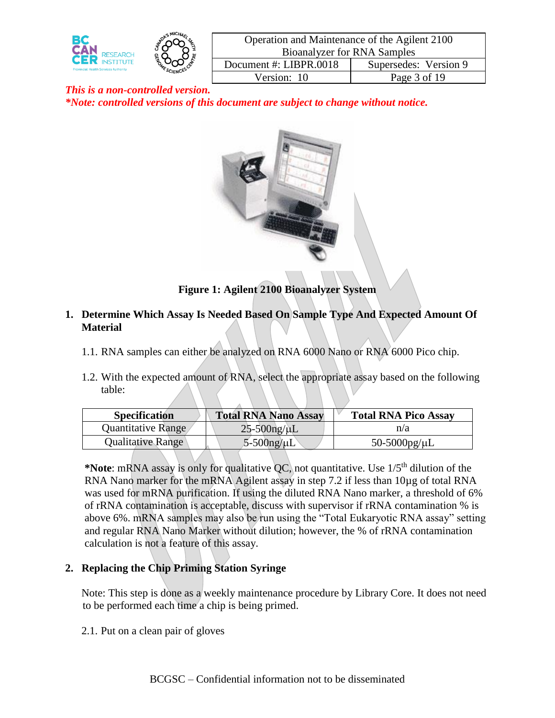

| Operation and Maintenance of the Agilent 2100 |                       |  |  |  |
|-----------------------------------------------|-----------------------|--|--|--|
| <b>Bioanalyzer for RNA Samples</b>            |                       |  |  |  |
| Document #: LIBPR.0018                        | Supersedes: Version 9 |  |  |  |
| Version: 10                                   | Page 3 of 19          |  |  |  |
|                                               |                       |  |  |  |



# **Figure 1: Agilent 2100 Bioanalyzer System**

- **1. Determine Which Assay Is Needed Based On Sample Type And Expected Amount Of Material**
	- 1.1. RNA samples can either be analyzed on RNA 6000 Nano or RNA 6000 Pico chip.
	- 1.2. With the expected amount of RNA, select the appropriate assay based on the following table:

| <b>Specification</b> | <b>Total RNA Nano Assay</b> | <b>Total RNA Pico Assay</b> |
|----------------------|-----------------------------|-----------------------------|
| Quantitative Range   | $25-500$ ng/ $\mu$ L        | n/a                         |
| Qualitative Range    | $5-500$ ng/ $\mu$ L         | 50-5000pg/ $\mu$ L          |

\***Note**: mRNA assay is only for qualitative QC, not quantitative. Use 1/5<sup>th</sup> dilution of the RNA Nano marker for the mRNA Agilent assay in step 7.2 if less than 10µg of total RNA was used for mRNA purification. If using the diluted RNA Nano marker, a threshold of 6% of rRNA contamination is acceptable, discuss with supervisor if rRNA contamination % is above 6%. mRNA samples may also be run using the "Total Eukaryotic RNA assay" setting and regular RNA Nano Marker without dilution; however, the % of rRNA contamination calculation is not a feature of this assay.

# **2. Replacing the Chip Priming Station Syringe**

Note: This step is done as a weekly maintenance procedure by Library Core. It does not need to be performed each time a chip is being primed.

2.1. Put on a clean pair of gloves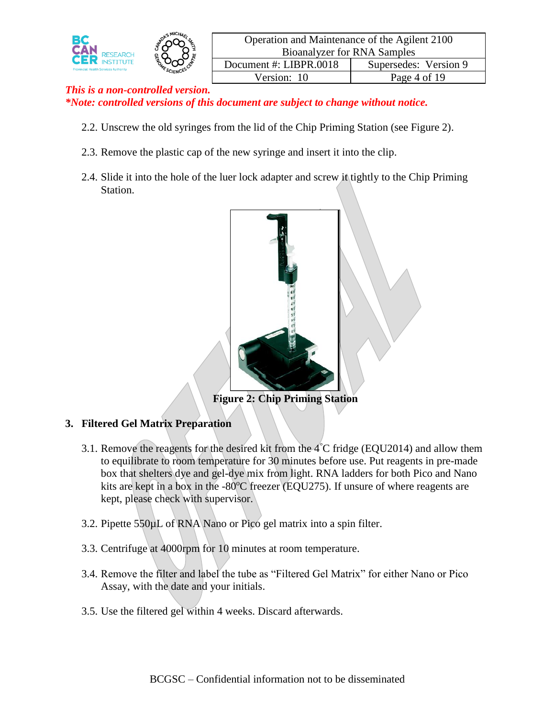

| Operation and Maintenance of the Agilent 2100 |                       |  |  |  |  |
|-----------------------------------------------|-----------------------|--|--|--|--|
| <b>Bioanalyzer for RNA Samples</b>            |                       |  |  |  |  |
| Document #: LIBPR.0018                        | Supersedes: Version 9 |  |  |  |  |
| Version: 10                                   | Page 4 of 19          |  |  |  |  |
|                                               |                       |  |  |  |  |

- 2.2. Unscrew the old syringes from the lid of the Chip Priming Station (see Figure 2).
- 2.3. Remove the plastic cap of the new syringe and insert it into the clip.
- 2.4. Slide it into the hole of the luer lock adapter and screw it tightly to the Chip Priming Station.



**Figure 2: Chip Priming Station**

# **3. Filtered Gel Matrix Preparation**

- 3.1. Remove the reagents for the desired kit from the  $4^{\circ}$ C fridge (EQU2014) and allow them to equilibrate to room temperature for 30 minutes before use. Put reagents in pre-made box that shelters dye and gel-dye mix from light. RNA ladders for both Pico and Nano kits are kept in a box in the  $-80^{\circ}$ C freezer (EQU275). If unsure of where reagents are kept, please check with supervisor.
- 3.2. Pipette 550µL of RNA Nano or Pico gel matrix into a spin filter.
- 3.3. Centrifuge at 4000rpm for 10 minutes at room temperature.
- 3.4. Remove the filter and label the tube as "Filtered Gel Matrix" for either Nano or Pico Assay, with the date and your initials.
- 3.5. Use the filtered gel within 4 weeks. Discard afterwards.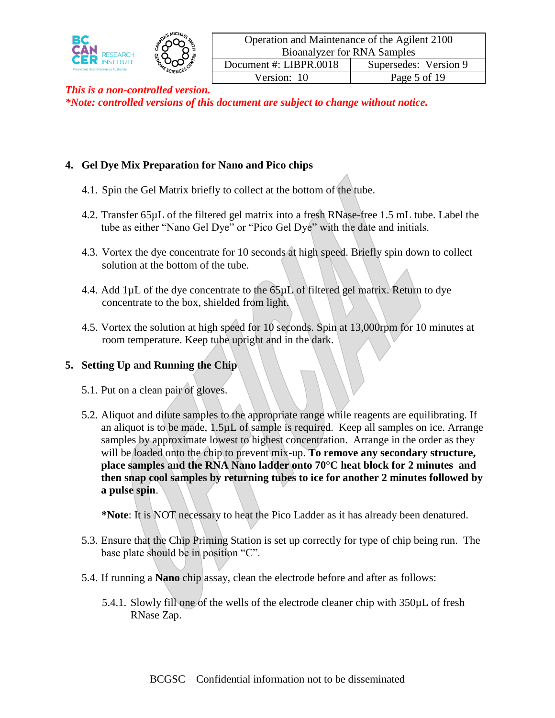

### **4. Gel Dye Mix Preparation for Nano and Pico chips**

- 4.1. Spin the Gel Matrix briefly to collect at the bottom of the tube.
- 4.2. Transfer 65µL of the filtered gel matrix into a fresh RNase-free 1.5 mL tube. Label the tube as either "Nano Gel Dye" or "Pico Gel Dye" with the date and initials.
- 4.3. Vortex the dye concentrate for 10 seconds at high speed. Briefly spin down to collect solution at the bottom of the tube.
- 4.4. Add  $1\mu$ L of the dye concentrate to the  $65\mu$ L of filtered gel matrix. Return to dye concentrate to the box, shielded from light.
- 4.5. Vortex the solution at high speed for 10 seconds. Spin at 13,000rpm for 10 minutes at room temperature. Keep tube upright and in the dark.

### **5. Setting Up and Running the Chip**

- 5.1. Put on a clean pair of gloves.
- 5.2. Aliquot and dilute samples to the appropriate range while reagents are equilibrating. If an aliquot is to be made, 1.5µL of sample is required. Keep all samples on ice. Arrange samples by approximate lowest to highest concentration. Arrange in the order as they will be loaded onto the chip to prevent mix-up. **To remove any secondary structure, place samples and the RNA Nano ladder onto 70°C heat block for 2 minutes and then snap cool samples by returning tubes to ice for another 2 minutes followed by a pulse spin**.

**\*Note**: It is NOT necessary to heat the Pico Ladder as it has already been denatured.

- 5.3. Ensure that the Chip Priming Station is set up correctly for type of chip being run. The base plate should be in position "C".
- 5.4. If running a **Nano** chip assay, clean the electrode before and after as follows:
	- 5.4.1. Slowly fill one of the wells of the electrode cleaner chip with 350µL of fresh RNase Zap.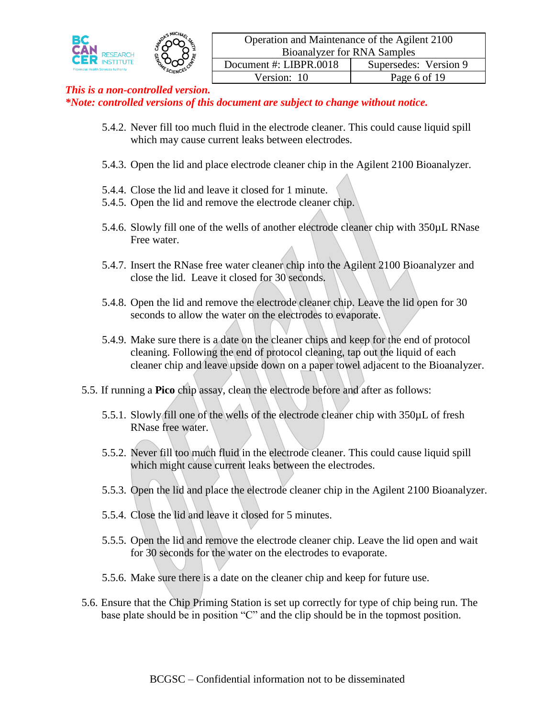

- 5.4.2. Never fill too much fluid in the electrode cleaner. This could cause liquid spill which may cause current leaks between electrodes.
- 5.4.3. Open the lid and place electrode cleaner chip in the Agilent 2100 Bioanalyzer.
- 5.4.4. Close the lid and leave it closed for 1 minute.
- 5.4.5. Open the lid and remove the electrode cleaner chip.
- 5.4.6. Slowly fill one of the wells of another electrode cleaner chip with 350µL RNase Free water.
- 5.4.7. Insert the RNase free water cleaner chip into the Agilent 2100 Bioanalyzer and close the lid. Leave it closed for 30 seconds.
- 5.4.8. Open the lid and remove the electrode cleaner chip. Leave the lid open for 30 seconds to allow the water on the electrodes to evaporate.
- 5.4.9. Make sure there is a date on the cleaner chips and keep for the end of protocol cleaning. Following the end of protocol cleaning, tap out the liquid of each cleaner chip and leave upside down on a paper towel adjacent to the Bioanalyzer.
- 5.5. If running a **Pico** chip assay, clean the electrode before and after as follows:
	- 5.5.1. Slowly fill one of the wells of the electrode cleaner chip with 350µL of fresh RNase free water.
	- 5.5.2. Never fill too much fluid in the electrode cleaner. This could cause liquid spill which might cause current leaks between the electrodes.
	- 5.5.3. Open the lid and place the electrode cleaner chip in the Agilent 2100 Bioanalyzer.
	- 5.5.4. Close the lid and leave it closed for 5 minutes.
	- 5.5.5. Open the lid and remove the electrode cleaner chip. Leave the lid open and wait for 30 seconds for the water on the electrodes to evaporate.
	- 5.5.6. Make sure there is a date on the cleaner chip and keep for future use.
- 5.6. Ensure that the Chip Priming Station is set up correctly for type of chip being run. The base plate should be in position "C" and the clip should be in the topmost position.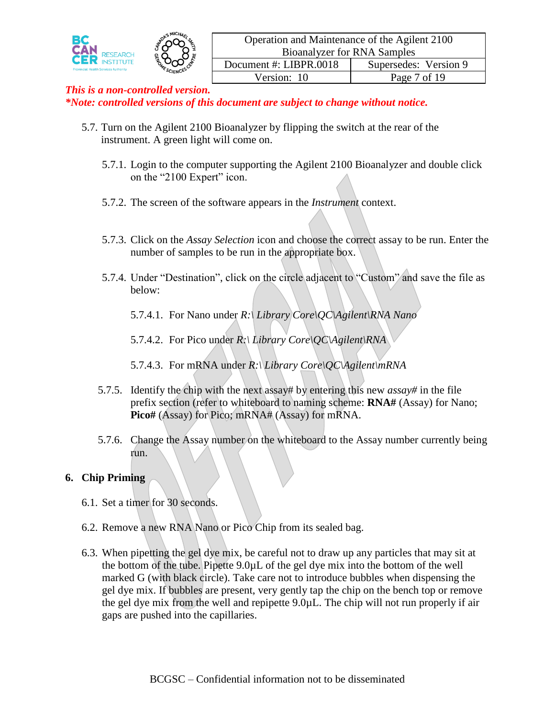

- 5.7. Turn on the Agilent 2100 Bioanalyzer by flipping the switch at the rear of the instrument. A green light will come on.
	- 5.7.1. Login to the computer supporting the Agilent 2100 Bioanalyzer and double click on the "2100 Expert" icon.
	- 5.7.2. The screen of the software appears in the *Instrument* context.
	- 5.7.3. Click on the *Assay Selection* icon and choose the correct assay to be run. Enter the number of samples to be run in the appropriate box.
	- 5.7.4. Under "Destination", click on the circle adjacent to "Custom" and save the file as below:
		- 5.7.4.1. For Nano under *R:\ Library Core\QC\Agilent\RNA Nano*
		- 5.7.4.2. For Pico under *R:\ Library Core\QC\Agilent\RNA*
		- 5.7.4.3. For mRNA under *R:\ Library Core\QC\Agilent\mRNA*
	- 5.7.5. Identify the chip with the next assay# by entering this new *assay#* in the file prefix section (refer to whiteboard to naming scheme: **RNA#** (Assay) for Nano; **Pico#** (Assay) for Pico; mRNA# (Assay) for mRNA.
	- 5.7.6. Change the Assay number on the whiteboard to the Assay number currently being run.

# **6. Chip Priming**

- 6.1. Set a timer for 30 seconds.
- 6.2. Remove a new RNA Nano or Pico Chip from its sealed bag.
- 6.3. When pipetting the gel dye mix, be careful not to draw up any particles that may sit at the bottom of the tube. Pipette 9.0µL of the gel dye mix into the bottom of the well marked G (with black circle). Take care not to introduce bubbles when dispensing the gel dye mix. If bubbles are present, very gently tap the chip on the bench top or remove the gel dye mix from the well and repipette 9.0µL. The chip will not run properly if air gaps are pushed into the capillaries.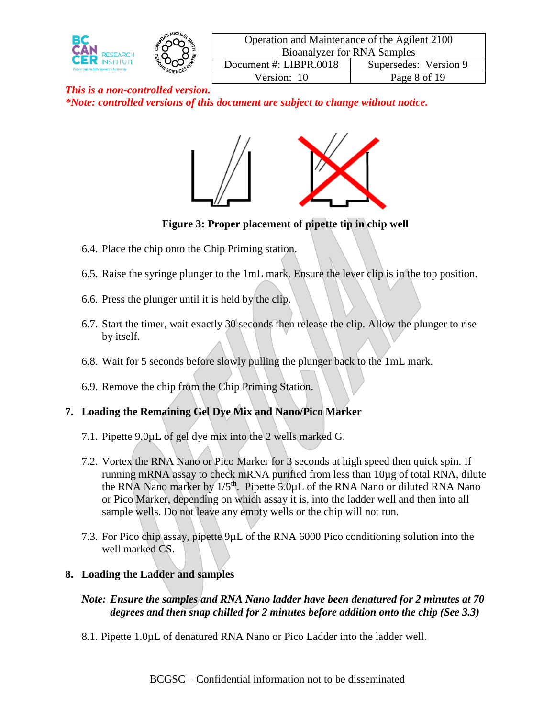

| Operation and Maintenance of the Agilent 2100 |                       |  |  |  |
|-----------------------------------------------|-----------------------|--|--|--|
| <b>Bioanalyzer for RNA Samples</b>            |                       |  |  |  |
| Document #: LIBPR.0018                        | Supersedes: Version 9 |  |  |  |
| Version: 10                                   | Page 8 of 19          |  |  |  |
|                                               |                       |  |  |  |



**Figure 3: Proper placement of pipette tip in chip well**

- 6.4. Place the chip onto the Chip Priming station.
- 6.5. Raise the syringe plunger to the 1mL mark. Ensure the lever clip is in the top position.
- 6.6. Press the plunger until it is held by the clip.
- 6.7. Start the timer, wait exactly 30 seconds then release the clip. Allow the plunger to rise by itself.
- 6.8. Wait for 5 seconds before slowly pulling the plunger back to the 1mL mark.
- 6.9. Remove the chip from the Chip Priming Station.

# **7. Loading the Remaining Gel Dye Mix and Nano/Pico Marker**

- 7.1. Pipette 9.0µL of gel dye mix into the 2 wells marked G.
- 7.2. Vortex the RNA Nano or Pico Marker for 3 seconds at high speed then quick spin. If running mRNA assay to check mRNA purified from less than 10µg of total RNA, dilute the RNA Nano marker by  $1/5<sup>th</sup>$ . Pipette 5.0 $\mu$ L of the RNA Nano or diluted RNA Nano or Pico Marker, depending on which assay it is, into the ladder well and then into all sample wells. Do not leave any empty wells or the chip will not run.
- 7.3. For Pico chip assay, pipette 9µL of the RNA 6000 Pico conditioning solution into the well marked CS.

# **8. Loading the Ladder and samples**

### *Note: Ensure the samples and RNA Nano ladder have been denatured for 2 minutes at 70 degrees and then snap chilled for 2 minutes before addition onto the chip (See 3.3)*

8.1. Pipette 1.0µL of denatured RNA Nano or Pico Ladder into the ladder well.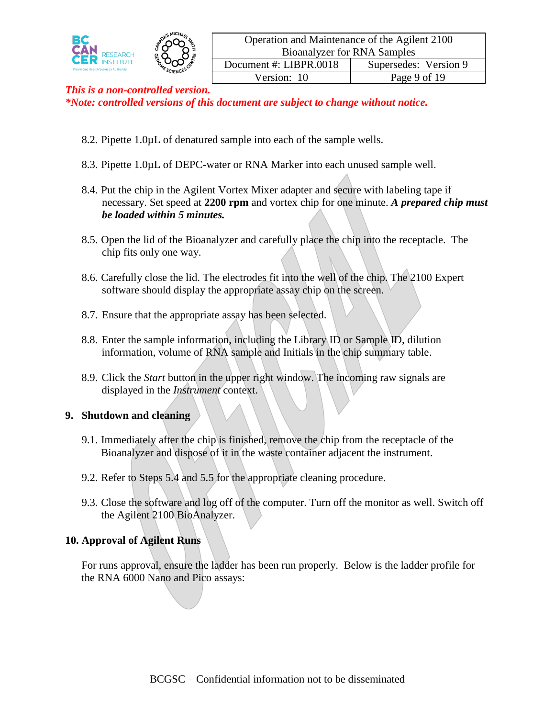

- 8.2. Pipette 1.0µL of denatured sample into each of the sample wells.
- 8.3. Pipette 1.0µL of DEPC-water or RNA Marker into each unused sample well.
- 8.4. Put the chip in the Agilent Vortex Mixer adapter and secure with labeling tape if necessary. Set speed at **2200 rpm** and vortex chip for one minute. *A prepared chip must be loaded within 5 minutes.*
- 8.5. Open the lid of the Bioanalyzer and carefully place the chip into the receptacle. The chip fits only one way.
- 8.6. Carefully close the lid. The electrodes fit into the well of the chip. The 2100 Expert software should display the appropriate assay chip on the screen.
- 8.7. Ensure that the appropriate assay has been selected.
- 8.8. Enter the sample information, including the Library ID or Sample ID, dilution information, volume of RNA sample and Initials in the chip summary table.
- 8.9. Click the *Start* button in the upper right window. The incoming raw signals are displayed in the *Instrument* context.

# **9. Shutdown and cleaning**

- 9.1. Immediately after the chip is finished, remove the chip from the receptacle of the Bioanalyzer and dispose of it in the waste container adjacent the instrument.
- 9.2. Refer to Steps 5.4 and 5.5 for the appropriate cleaning procedure.
- 9.3. Close the software and log off of the computer. Turn off the monitor as well. Switch off the Agilent 2100 BioAnalyzer.

# **10. Approval of Agilent Runs**

For runs approval, ensure the ladder has been run properly. Below is the ladder profile for the RNA 6000 Nano and Pico assays: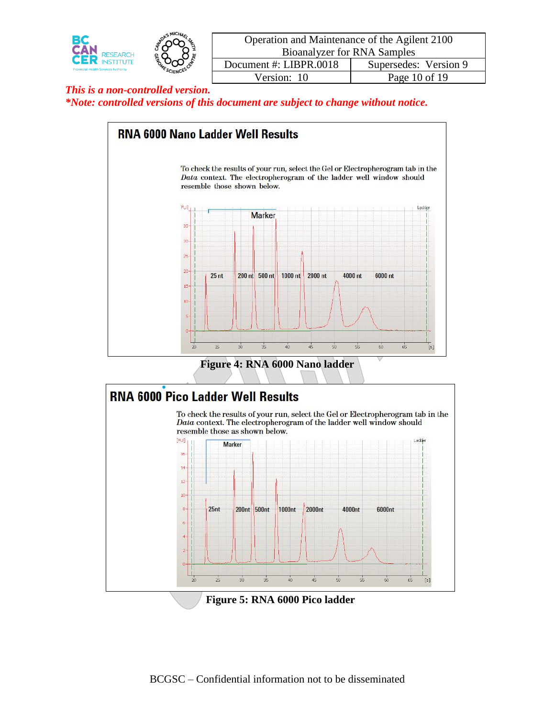

| Operation and Maintenance of the Agilent 2100 |                       |  |  |  |  |
|-----------------------------------------------|-----------------------|--|--|--|--|
| <b>Bioanalyzer for RNA Samples</b>            |                       |  |  |  |  |
| Document #: LIBPR.0018                        | Supersedes: Version 9 |  |  |  |  |
| Version: 10                                   | Page 10 of 19         |  |  |  |  |
|                                               |                       |  |  |  |  |







**Figure 5: RNA 6000 Pico ladder**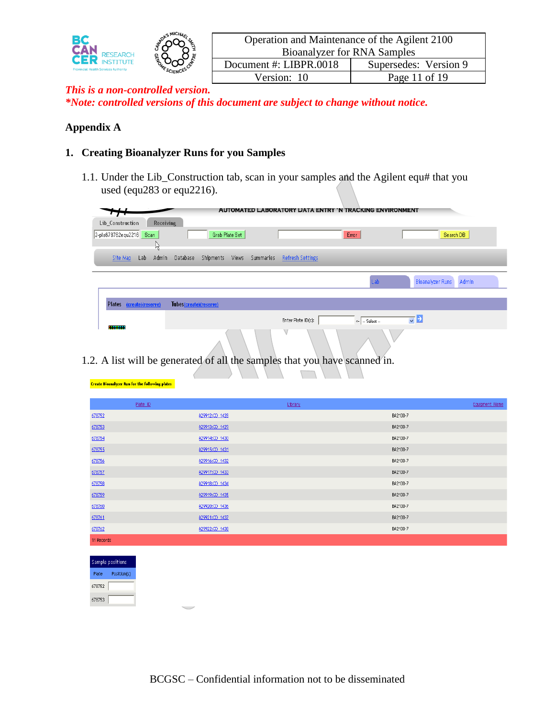

| Operation and Maintenance of the Agilent 2100 |                       |  |  |  |
|-----------------------------------------------|-----------------------|--|--|--|
| <b>Bioanalyzer for RNA Samples</b>            |                       |  |  |  |
| Document #: LIBPR.0018                        | Supersedes: Version 9 |  |  |  |
| Version: 10                                   | Page 11 of 19         |  |  |  |
|                                               |                       |  |  |  |

# **Appendix A**

### **1. Creating Bioanalyzer Runs for you Samples**

1.1. Under the Lib\_Construction tab, scan in your samples and the Agilent equ# that you used (equ283 or equ2216).

|                                                                  |                        |                    |           |                         | <b>AUTOMATED LABORATORY DATA ENTRY 'N TRACKING ENVIRONMENT</b> |                                                 |       |
|------------------------------------------------------------------|------------------------|--------------------|-----------|-------------------------|----------------------------------------------------------------|-------------------------------------------------|-------|
| Receiving<br>Lib Construction<br>2-pla678762equ2216<br>Scan<br>Μ |                        | Grab Plate Set     |           |                         | Error                                                          | Search DB                                       |       |
| Lab<br>Admin<br>Site Map                                         | Database               | Shipments<br>Views | Summaries | <b>Refresh Settings</b> |                                                                |                                                 |       |
|                                                                  |                        |                    |           |                         | Lab                                                            | <b>Bioanalyzer Runs</b>                         | Admin |
| Plates (create)(reserve)                                         | Tubes(create)(reserve) |                    |           |                         |                                                                |                                                 |       |
| <del></del>                                                      |                        |                    |           | Enter Plate ID(s):      | $\left  - \right $ - Select -                                  | $\overline{\mathbf{v}}$ $\overline{\mathbf{v}}$ |       |
|                                                                  |                        | $\Lambda$          |           |                         |                                                                |                                                 |       |

1.2. A list will be generated of all the samples that you have scanned in.

| Plate ID   |                | Library |          | Equipment Name |
|------------|----------------|---------|----------|----------------|
| 678752     | A29912:CD 1428 |         | BA2100-7 |                |
| 678753     | A29913:CD 1429 |         | BA2100-7 |                |
| 678754     | A29914:CD 1430 |         | BA2100-7 |                |
| 678755     | A29915:CD 1431 |         | BA2100-7 |                |
| 678756     | A29916:CD 1432 |         | BA2100-7 |                |
| 678757     | A29917:CD 1433 |         | BA2100-7 |                |
| 678758     | A29918:CD 1434 |         | BA2100-7 |                |
| 678759     | A29919:CD 1435 |         | BA2100-7 |                |
| 678760     | A29920:CD 1436 |         | BA2100-7 |                |
| 678761     | A29921:CD 1437 |         | BA2100-7 |                |
| 678762     | A29922:CD 1438 |         | BA2100-7 |                |
| 11 Records |                |         |          |                |
|            |                |         |          |                |

|        | Sample positions |
|--------|------------------|
| Plate  | Position(s)      |
| 678752 |                  |
| 678753 |                  |

**Create Bioanalyzer Run for the following plates**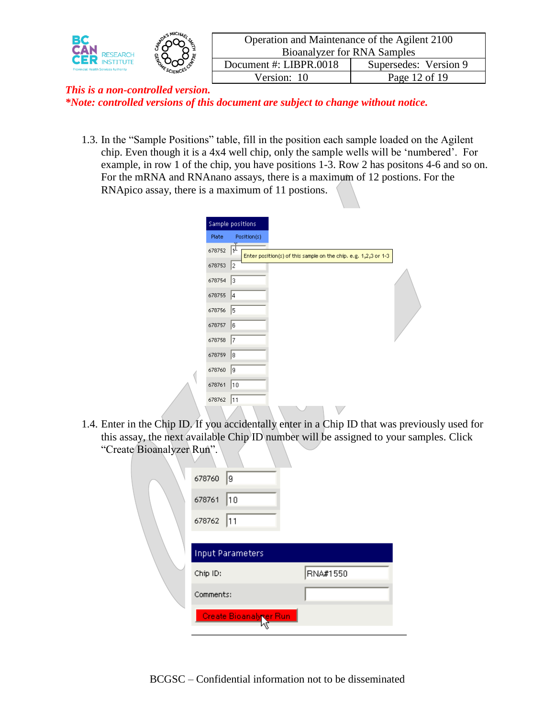

| Operation and Maintenance of the Agilent 2100 |                       |  |  |  |  |  |  |  |
|-----------------------------------------------|-----------------------|--|--|--|--|--|--|--|
| <b>Bioanalyzer for RNA Samples</b>            |                       |  |  |  |  |  |  |  |
| Document #: LIBPR.0018                        | Supersedes: Version 9 |  |  |  |  |  |  |  |
| Version: 10<br>Page 12 of 19                  |                       |  |  |  |  |  |  |  |
|                                               |                       |  |  |  |  |  |  |  |

1.3. In the "Sample Positions" table, fill in the position each sample loaded on the Agilent chip. Even though it is a 4x4 well chip, only the sample wells will be 'numbered'. For example, in row 1 of the chip, you have positions 1-3. Row 2 has positons 4-6 and so on. For the mRNA and RNAnano assays, there is a maximum of 12 postions. For the RNApico assay, there is a maximum of 11 postions.

|        | Sample positions |  |                                                                 |  |
|--------|------------------|--|-----------------------------------------------------------------|--|
| Plate  | Position(s)      |  |                                                                 |  |
| 678752 | ħ                |  | Enter position(s) of this sample on the chip, e.g. 1,2,3 or 1-3 |  |
| 678753 | l2               |  |                                                                 |  |
| 678754 | Iз               |  |                                                                 |  |
| 678755 | 14               |  |                                                                 |  |
| 678756 | 5                |  |                                                                 |  |
| 678757 | 16               |  |                                                                 |  |
| 678758 | 17               |  |                                                                 |  |
| 678759 | 18               |  |                                                                 |  |
| 678760 | l9.              |  |                                                                 |  |
| 678761 | 10               |  |                                                                 |  |
| 678762 | 11               |  |                                                                 |  |
|        |                  |  |                                                                 |  |

1.4. Enter in the Chip ID. If you accidentally enter in a Chip ID that was previously used for this assay, the next available Chip ID number will be assigned to your samples. Click "Create Bioanalyzer Run".

| 678760    | 19                      |          |  |
|-----------|-------------------------|----------|--|
| 678761    | 10                      |          |  |
| 678762    | 11                      |          |  |
|           |                         |          |  |
|           | <b>Input Parameters</b> |          |  |
| Chip ID:  |                         | RNA#1550 |  |
| Comments: |                         |          |  |
|           | Create Bioanalycer Run  |          |  |
|           |                         |          |  |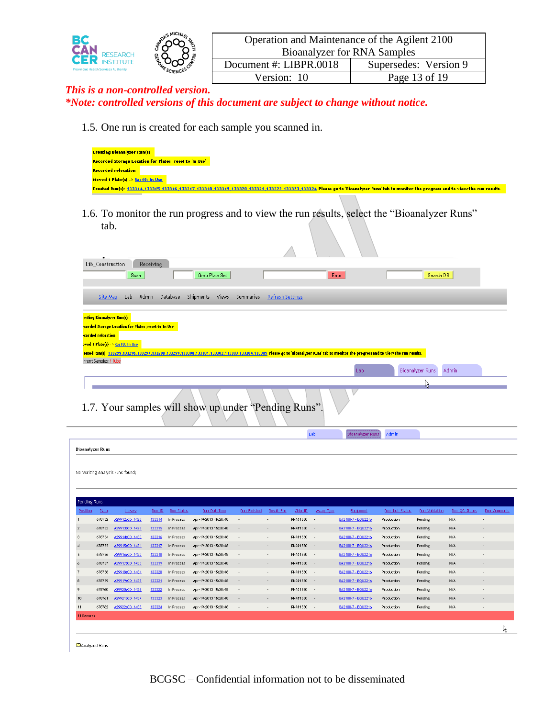

1.5. One run is created for each sample you scanned in.

| <b>Creating Bioanalyzer Run(s)</b>                      |                                                                                                                                                                                      |
|---------------------------------------------------------|--------------------------------------------------------------------------------------------------------------------------------------------------------------------------------------|
| Recorded Storage Location for Plates; reset to 'In Use' |                                                                                                                                                                                      |
| <b>Recorded relocation</b>                              |                                                                                                                                                                                      |
| Moved 1 Plate(s) > Rac10: In Use                        |                                                                                                                                                                                      |
|                                                         | Created Run(s): 133314,133315,133316,133317,133318,133319,133320,133322,133322,133323,133324 Please go to Bioanalyzer Runs' tab to monitor the progress and to view the run results. |
|                                                         |                                                                                                                                                                                      |

1.6. To monitor the run progress and to view the run results, select the "Bioanalyzer Runs" tab.

| $\bullet$                                                                                                                                                                                                   |                  |                           |                                  |  |
|-------------------------------------------------------------------------------------------------------------------------------------------------------------------------------------------------------------|------------------|---------------------------|----------------------------------|--|
| Lib_Construction<br>Receiving                                                                                                                                                                               |                  |                           |                                  |  |
| Grab Plate Set<br>Scan:                                                                                                                                                                                     |                  | Error                     | Search DB                        |  |
|                                                                                                                                                                                                             |                  |                           |                                  |  |
| Shipments<br>Database<br>Views<br>Summaries<br>Lab<br>Admin<br>Site Map                                                                                                                                     | Refresh Settings |                           |                                  |  |
| eating Bioanalyzer Run(s)                                                                                                                                                                                   |                  |                           |                                  |  |
| corded Storage Location for Plates; reset to 'In Use'                                                                                                                                                       |                  |                           |                                  |  |
| <b>corded relocation</b>                                                                                                                                                                                    |                  |                           |                                  |  |
| pved 1 Plate(s) -> Rac10: In Use                                                                                                                                                                            |                  |                           |                                  |  |
| eated Run(s): 133295,133296,133297,133298,133299,133300,133301,133302,133303,133304,133305 Please go to Bioanalyzer Runs' tab to monitor the progress and to view the run results.<br>rrent Samples: 1 Tube |                  |                           |                                  |  |
|                                                                                                                                                                                                             |                  | Lab                       | Bioanalyzer Runs<br><b>Admin</b> |  |
|                                                                                                                                                                                                             |                  |                           |                                  |  |
| 1.7. Your samples will show up under "Pending Runs".                                                                                                                                                        |                  |                           |                                  |  |
|                                                                                                                                                                                                             | Lab              | Admin<br>Bioanalyzer Runs |                                  |  |
| <b>Bioanalyzer Runs</b>                                                                                                                                                                                     |                  |                           |                                  |  |
|                                                                                                                                                                                                             |                  |                           |                                  |  |

| Pending Runs    |        |                |        |            |                      |                          |             |            |                          |                    |                 |                |               |                          |
|-----------------|--------|----------------|--------|------------|----------------------|--------------------------|-------------|------------|--------------------------|--------------------|-----------------|----------------|---------------|--------------------------|
| Position        | Plate  | Library        | Run ID | Run Status | Run DateTime         | Run Finished             | Result File | Chip ID    | Assay Type               | Equipment          | Run Test Status | Run Validation | Run QC Status | <b>Run</b> Comments      |
|                 | 678752 | A29912:CD 1428 | 133314 | In Process | Apr-19-2013 15:28:48 | ٠                        | a.          | RNA#1550   | $\overline{\phantom{a}}$ | BA2100-7 - EQU2216 | Production      | Pending        | N/A           | ۰                        |
| $\overline{2}$  | 678753 | A29913:CD 1429 | 133315 | In Process | Apr-19-2013 15:28:48 | $\overline{\phantom{a}}$ | $\sim$      | RNA#1550   | $\sim$                   | BA2100-7 - EQU2216 | Production      | Pending        | N/A           | $\overline{\phantom{a}}$ |
| з.              | 678754 | A29914:CD 1430 | 133316 | In Process | Apr-19-2013 15:28:48 | $\overline{\phantom{a}}$ | ÷.          | RNA#1550 - |                          | BA2100-7 - EQU2216 | Production      | Pending        | N/A           | $\overline{\phantom{a}}$ |
| $\Delta$        | 678755 | A29915:CD 1431 | 133317 | In Process | Apr-19-2013 15:28:48 | $\overline{\phantom{a}}$ | $\sim$      | RNA#1550 - |                          | BA2100-7 - EQU2216 | Production      | Pending        | N/A           | $\overline{\phantom{a}}$ |
| 5               | 678756 | A29916:CD 1432 | 133318 | In Process | Apr-19-2013 15:28:48 | $\sim$                   | $\sim$      | RNA#1550 - |                          | BA2100-7 - EQU2216 | Production      | Pending        | N/A           | ٠                        |
| 6               | 678757 | A29917:CD 1433 | 133319 | In Process | Apr-19-2013 15:28:48 | $\overline{\phantom{a}}$ | $\sim$      | RNA#1550   | $\sim$                   | BA2100-7 - EQU2216 | Production      | Pending        | N/A           | $\overline{\phantom{a}}$ |
| $\overline{7}$  | 678758 | A29918:CD 1434 | 133320 | In Process | Apr-19-2013 15:28:48 | $\overline{\phantom{a}}$ | $\sim$      | RNA#1550 - |                          | BA2100-7 - EQU2216 | Production      | Pending        | N/A           | $\overline{\phantom{a}}$ |
| 8               | 678759 | A29919:CD 1435 | 133321 | In Process | Apr-19-2013 15:28:48 | $\overline{\phantom{a}}$ | $\sim$      | RNA#1550 - |                          | BA2100-7 - EQU2216 | Production      | Pending        | N/A           | $\overline{\phantom{a}}$ |
| 9.              | 678760 | A29920:CD 1436 | 133322 | In Process | Apr-19-2013 15:28:48 | $\sim$                   | $\sim$      | RNA#1550 - |                          | BA2100-7 - EQU2216 | Production      | Pending        | N/A           | ٠                        |
| 10 <sup>°</sup> | 678761 | A29921:CD 1437 | 133323 | In Process | Apr-19-2013 15:28:48 | ٠                        | $\sim$      | RNA#1550   | $\sim$                   | BA2100-7 - EQU2216 | Production      | Pending        | N/A           | $\overline{\phantom{a}}$ |
| 11              | 678762 | A29922:CD 1438 | 133324 | In Process | Apr-19-2013 15:28:48 | $\overline{\phantom{a}}$ | ÷.          | RNA#1550 - |                          | BA2100-7 - EQU2216 | Production      | Pending        | N/A           | $\overline{\phantom{a}}$ |
| 11 Records      |        |                |        |            |                      |                          |             |            |                          |                    |                 |                |               |                          |
|                 |        |                |        |            |                      |                          |             |            |                          |                    |                 |                |               | W                        |

**E**Analyzed Runs

No Waiting Analysis runs found;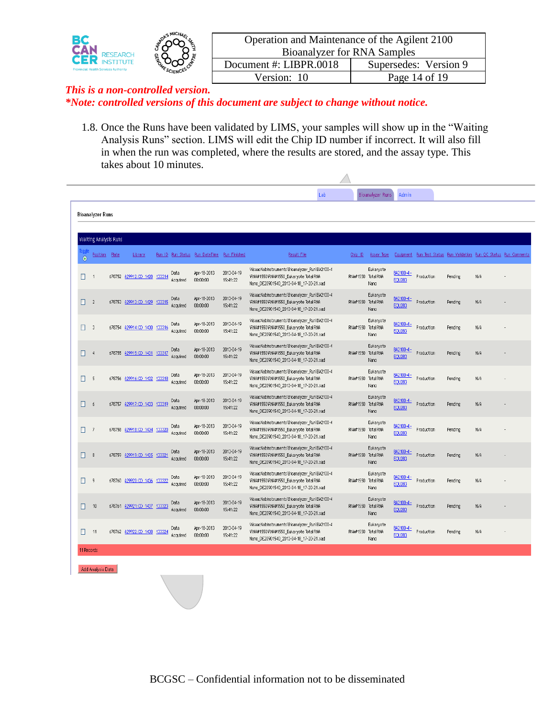

| Operation and Maintenance of the Agilent 2100 |                       |  |  |  |  |  |  |  |
|-----------------------------------------------|-----------------------|--|--|--|--|--|--|--|
| <b>Bioanalyzer for RNA Samples</b>            |                       |  |  |  |  |  |  |  |
| Document #: LIBPR.0018                        | Supersedes: Version 9 |  |  |  |  |  |  |  |
| Version: 10                                   | Page 14 of 19         |  |  |  |  |  |  |  |
|                                               |                       |  |  |  |  |  |  |  |

1.8. Once the Runs have been validated by LIMS, your samples will show up in the "Waiting Analysis Runs" section. LIMS will edit the Chip ID number if incorrect. It will also fill in when the run was completed, where the results are stored, and the assay type. This takes about 10 minutes.

|           |                  |                              |                              |        |                  |                                             |                        | Lab                                                                                                                                 |                    | Bioanalyzer Runs                        | <b>Admin</b>               |                                                                     |         |     |  |
|-----------|------------------|------------------------------|------------------------------|--------|------------------|---------------------------------------------|------------------------|-------------------------------------------------------------------------------------------------------------------------------------|--------------------|-----------------------------------------|----------------------------|---------------------------------------------------------------------|---------|-----|--|
|           | Bioanalyzer Runs |                              |                              |        |                  |                                             |                        |                                                                                                                                     |                    |                                         |                            |                                                                     |         |     |  |
|           |                  |                              |                              |        |                  |                                             |                        |                                                                                                                                     |                    |                                         |                            |                                                                     |         |     |  |
|           |                  | <b>Waiting Analysis Runs</b> |                              |        |                  |                                             |                        |                                                                                                                                     |                    |                                         |                            |                                                                     |         |     |  |
| $\bullet$ | <b>Position</b>  | Plate                        | Library                      |        |                  | Run ID Run Status Run DateTime Run Finished |                        | Result File                                                                                                                         | Chip ID            | Assay Type                              |                            | Equipment Run Test Status Run Validation Run QC Status Run Comments |         |     |  |
| □         | $\overline{1}$   |                              | 678752 A29912:CD 1428        | 133314 | Data<br>Acquired | Apr-18-2013<br>00;00;00                     | 2013-04-19<br>15:41:22 | WisaacNabinstruments\Bioanalyzer Run\BA2100-4<br>VRNA#1550VRNA#1550_Eukaryote Total RNA<br>Nano DE20901540 2013-04-18 17-20-21.xad  |                    | Eukaryote<br>RNA#1550 Total RNA<br>Nano | BA2100-4-<br><b>EOU283</b> | Production                                                          | Pending | N/A |  |
|           | $\Box$ 2         |                              | 678753 A29913:CD 1429 133315 |        | Data<br>Acquired | Apr-18-2013<br>00:00:00                     | 2013-04-19<br>15:41:22 | WisaacNabinstruments\Bioanalyzer Run\BA2100-4<br>VRNA#1550\RNA#1550_Eukaryote Total RNA<br>Nano DE20901540 2013-04-18 17-20-21.xad  | RNA#1550 Total RNA | Eukaryote<br>Nano                       | BA2100-4-<br><b>EQU283</b> | Production                                                          | Pending | N/A |  |
| П         | $\mathbf{3}$     | 678754                       | A29914:CD 1430               | 133316 | Data<br>Acquired | Apr-18-2013<br>00:00:00                     | 2013-04-19<br>15:41:22 | NisaacNabinstruments\Bioanalyzer_Run\BA2100-4<br>VRNA#1550VRNA#1550_Eukaryote Total RNA<br>Nano DE20901540 2013-04-18 17-20-21.xad  | RNA#1550 Total RNA | Eukaryote<br>Nano                       | BA2100-4-<br><b>EOU283</b> | Production                                                          | Pending | N/A |  |
| Ω.        | $\overline{4}$   |                              | 678755 A29915:CD 1431 133317 |        | Data<br>Acquired | Apr-18-2013<br>00:00:00                     | 2013-04-19<br>15:41:22 | NisaacNabinstruments\Bioanalyzer_Run\BA2100-4<br>VRNA#1550VRNA#1550 Eukaryote Total RNA<br>Nano_DE20901540_2013-04-18_17-20-21.xad  | RNA#1550 Total RNA | Eukaryote<br>Nano                       | BA2100-4-<br><b>EQU283</b> | Production                                                          | Pending | N/A |  |
| 0         | -5               | 678756                       | A29916:CD 1432               | 133318 | Data<br>Acquired | Apr-18-2013<br>00:00:00                     | 2013-04-19<br>15:41:22 | NisaacNabinstruments\Bioanalyzer_Run\BA2100-4<br>VRNA#1550\RNA#1550_Eukaryote Total RNA<br>Nano_DE20901540_2013-04-18_17-20-21.xad  | RNA#1550 Total RNA | Eukaryote<br>Nano                       | BA2100-4-<br><b>EQU283</b> | Production                                                          | Pending | N/A |  |
| П.        | - 6              |                              | 678757 A29917:CD 1433        | 133319 | Data<br>Acquired | Apr-18-2013<br>00:00:00                     | 2013-04-19<br>15:41:22 | WisaacNabinstruments\Bioanalyzer_Run\BA2100-4<br>VRNA#1550VRNA#1550 Eukaryote Total RNA<br>Nano_DE20901540_2013-04-18_17-20-21.xad  | RNA#1550 Total RNA | Eukaryote<br>Nano                       | BA2100-4-<br><b>EQU283</b> | Production                                                          | Pending | N/A |  |
| п         | $\overline{7}$   |                              | 678758 A29918:CD 1434        | 133320 | Data<br>Acquired | Apr-18-2013<br>00:00:00                     | 2013-04-19<br>15:41:22 | WisaacNabinstruments\Bioanalyzer_Run\BA2100-4<br>VRNA#1550VRNA#1550 Eukaryote Total RNA<br>Nano_DE20901540_2013-04-18_17-20-21.xad  | RNA#1550 Total RNA | Eukaryote<br>Nano                       | BA2100-4-<br><b>EQU283</b> | Production                                                          | Pending | N/A |  |
| O.        | 8                |                              | 678759 A29919:CD 1435        | 133321 | Data<br>Acquired | Apr-18-2013<br>00;00;00                     | 2013-04-19<br>15:41:22 | NisaacNabinstruments\Bioanalyzer_Run\BA2100-4<br>VRNA#1550VRNA#1550 Eukaryote Total RNA<br>Nano DE20901540 2013-04-18 17-20-21.xad  | RNA#1550 Total RNA | Eukaryote<br>Nano                       | BA2100-4-<br><b>EQU283</b> | Production                                                          | Pending | N/A |  |
| 0         | 9                | 678760                       | A29920:CD 1436               | 133322 | Data<br>Acquired | Apr-18-2013<br>00;00;00                     | 2013-04-19<br>15:41:22 | WisaacNabinstruments\Bioanalyzer Run\BA2100-4<br>VRNA#1550\RNA#1550_Eukaryote Total RNA<br>Nano DE20901540 2013-04-18 17-20-21.xad  |                    | Eukarvote<br>RNA#1550 Total RNA<br>Nano | BA2100-4-<br><b>EQU283</b> | Production                                                          | Pending | N/A |  |
| □         | 10               |                              | 678761 A29921:CD 1437        | 133323 | Data<br>Acquired | Apr-18-2013<br>00:00:00                     | 2013-04-19<br>15:41:22 | WisaacNabinstruments\Bioanalyzer Run\BA2100-4<br>VRNA#1550VRNA#1550 Eukaryote Total RNA<br>Nano DE20901540 2013-04-18 17-20-21.xad  | RNA#1550 Total RNA | Eukaryote<br>Nano                       | BA2100-4-<br><b>EQU283</b> | Production                                                          | Pending | N/A |  |
| П         | 11               | 678762                       | A29922:CD 1438               | 133324 | Data<br>Acquired | Apr-18-2013<br>00:00:00                     | 2013-04-19<br>15:41:22 | Wisaac\labinstruments\Bioanalyzer_Run\BA2100-4<br>VRNA#1550\RNA#1550_Eukaryote Total RNA<br>Nano DE20901540 2013-04-18 17-20-21.xad |                    | Eukarvote<br>RNA#1550 Total RNA<br>Nano | BA2100-4-<br><b>EQU283</b> | Production                                                          | Pending | N/A |  |
|           | 11 Records       |                              |                              |        |                  |                                             |                        |                                                                                                                                     |                    |                                         |                            |                                                                     |         |     |  |

Add Analysis Data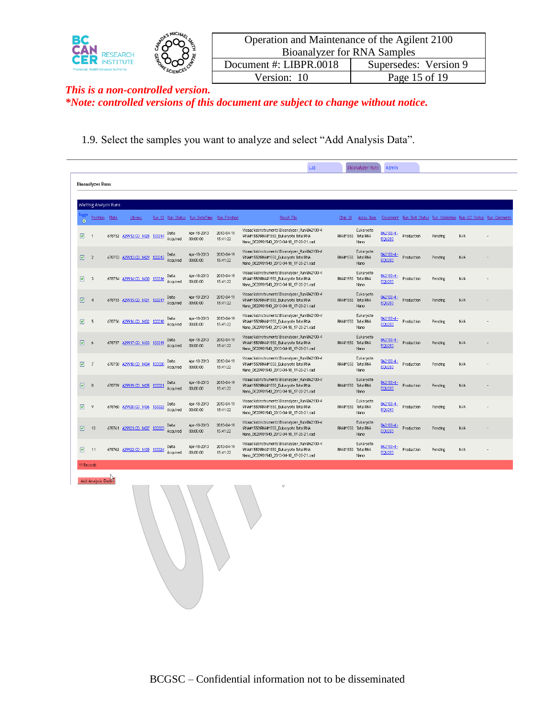

| Operation and Maintenance of the Agilent 2100 |                       |  |  |  |  |  |  |  |  |
|-----------------------------------------------|-----------------------|--|--|--|--|--|--|--|--|
| <b>Bioanalyzer for RNA Samples</b>            |                       |  |  |  |  |  |  |  |  |
| Document #: LIBPR.0018                        | Supersedes: Version 9 |  |  |  |  |  |  |  |  |
| Version: 10                                   | Page 15 of 19         |  |  |  |  |  |  |  |  |
|                                               |                       |  |  |  |  |  |  |  |  |

1.9. Select the samples you want to analyze and select "Add Analysis Data".

|            |                         |        |                              |        |                  |                                             |                        | Lab                                                                                                                                  |                    | Bioanalyzer Runs  | Admin                      |                                                                     |         |     |  |
|------------|-------------------------|--------|------------------------------|--------|------------------|---------------------------------------------|------------------------|--------------------------------------------------------------------------------------------------------------------------------------|--------------------|-------------------|----------------------------|---------------------------------------------------------------------|---------|-----|--|
|            | <b>Bioanalyzer Runs</b> |        |                              |        |                  |                                             |                        |                                                                                                                                      |                    |                   |                            |                                                                     |         |     |  |
|            |                         |        |                              |        |                  |                                             |                        |                                                                                                                                      |                    |                   |                            |                                                                     |         |     |  |
|            | Waiting Analysis Runs   |        |                              |        |                  |                                             |                        |                                                                                                                                      |                    |                   |                            |                                                                     |         |     |  |
| $\bullet$  | Position                | Plate  | Library                      |        |                  | Run ID Run Status Run DateTime Run Finished |                        | <b>Result File</b>                                                                                                                   | Chip ID            | Assay Type        |                            | Equipment Run Test Status Run Validation Run QC Status Run Comments |         |     |  |
| ☑          |                         | 678752 | A29912:CD 1428               | 133314 | Data<br>Acquired | Apr-18-2013<br>00:00:00                     | 2013-04-19<br>15:41:22 | WisaacNabinstruments\Bioanalyzer Run\BA2100-4<br>\RNA#1550\RNA#1550_Eukaryote Total RNA<br>Nano DE20901540 2013-04-18 17-20-21.xad   | RNA#1550 Total RNA | Eukaryote<br>Nano | BA2100-4-<br><b>EOU283</b> | Production                                                          | Pending | N/A |  |
| 図          | $\overline{2}$          |        | 678753 A29913:CD 1429 133315 |        | Data<br>Acquired | Apr-18-2013<br>00:00:00                     | 2013-04-19<br>15:41:22 | WisaacNabinstruments\Bioanalyzer Run\BA2100-4<br>VRNA#1550VRNA#1550 Eukaryote Total RNA<br>Nano_DE20901540_2013-04-18_17-20-21.xad   | RNA#1550 Total RNA | Eukaryote<br>Nano | BA2100-4-<br><b>EQU283</b> | Production                                                          | Pending | N/A |  |
| ☑          | $\sqrt{3}$              | 678754 | A29914:CD 1430               | 133316 | Data<br>Acquired | Apr-18-2013<br>00:00:00                     | 2013-04-19<br>15:41:22 | WisaacVabinstruments\Bioanalvzer Run\BA2100-4<br>\RNA#1550\RNA#1550 Eukaryote Total RNA<br>Nano_DE20901540_2013-04-18_17-20-21.xad   | RNA#1550 Total RNA | Eukarvote<br>Nano | BA2100-4-<br><b>EOU283</b> | Production                                                          | Pending | N/A |  |
| ⊡          | $\overline{4}$          |        | 678755 A29915:CD 1431 133317 |        | Data<br>Acquired | Apr-18-2013<br>00:00:00                     | 2013-04-19<br>15:41:22 | WisaacNabinstruments\Bioanalyzer_Run\BA2100-4<br>VRNA#1550VRNA#1550 Eukaryote Total RNA<br>Nano DE20901540 2013-04-18 17-20-21.xad   | RNA#1550 Total RNA | Eukaryote<br>Nano | BA2100-4-<br><b>EQU283</b> | Production                                                          | Pending | N/A |  |
| ☑          | - 5                     | 678756 | A29916:CD 1432               | 133318 | Data<br>Acquired | Apr-18-2013<br>00:00:00                     | 2013-04-19<br>15:41:22 | WisaacNabinstruments\Bioanalyzer Run\BA2100-4<br>VRNA#1550VRNA#1550_Eukaryote Total RNA<br>Nano DE20901540 2013-04-18 17-20-21.xad   | RNA#1550 Total RNA | Eukarvote<br>Nano | BA2100-4-<br><b>EQU283</b> | Production                                                          | Pending | N/A |  |
| ☑          | 6                       | 678757 | A29917:CD 1433               | 133319 | Data<br>Acquired | Apr-18-2013<br>00:00:00                     | 2013-04-19<br>15:41:22 | WisaacNabinstruments\Bioanalyzer_Run\BA2100-4<br>\RNA#1550\RNA#1550_Eukaryote Total RNA<br>Nano_DE20901540_2013-04-18_17-20-21.xad   | RNA#1550 Total RNA | Eukaryote<br>Nano | BA2100-4-<br><b>EOU283</b> | Production                                                          | Pending | N/A |  |
| ☑          | -7                      |        | 678758 A29918:CD 1434        | 133320 | Data<br>Acquired | Apr-18-2013<br>00:00:00                     | 2013-04-19<br>15:41:22 | WisaacNabinstruments\Bioanalyzer Run\BA2100-4<br>\RNA#1550\RNA#1550 Eukaryote Total RNA<br>Nano_DE20901540_2013-04-18_17-20-21.xad   | RNA#1550 Total RNA | Eukaryote<br>Nano | BA2100-4-<br><b>EOU283</b> | Production                                                          | Pending | N/A |  |
| 罓          | 8                       | 678759 | A29919:CD 1435 133321        |        | Data<br>Acquired | Apr-18-2013<br>00:00:00                     | 2013-04-19<br>15:41:22 | \\isaac\labinstruments\Bioanalyzer_Run\BA2100-4<br>VRNA#1550VRNA#1550_Eukaryote Total RNA<br>Nano DE20901540 2013-04-18 17-20-21.xad | RNA#1550 Total RNA | Eukaryote<br>Nano | BA2100-4-<br><b>EQU283</b> | Production                                                          | Pending | N/A |  |
| ☑          | 9                       | 678760 | A29920:CD 1436               | 133322 | Data<br>Acquired | Apr-18-2013<br>00:00:00                     | 2013-04-19<br>15:41:22 | WisaacNabinstruments\Bioanalyzer Run\BA2100-4<br>VRNA#1550VRNA#1550 Eukarvote Total RNA<br>Nano_DE20901540_2013-04-18_17-20-21.xad   | RNA#1550 Total RNA | Eukarvote<br>Nano | BA2100-4-<br><b>EQU283</b> | Production                                                          | Pending | N/A |  |
| ☑          | 10                      |        | 678761 A29921:CD 1437        | 133323 | Data<br>Acquired | Apr-18-2013<br>00:00:00                     | 2013-04-19<br>15:41:22 | WisaacNabinstruments\Bioanalyzer Run\BA2100-4<br>\RNA#1550\RNA#1550_Eukaryote Total RNA<br>Nano_DE20901540_2013-04-18_17-20-21.xad   | RNA#1550 Total RNA | Eukaryote<br>Nano | BA2100-4-<br><b>EOU283</b> | Production                                                          | Pending | N/A |  |
| ☑          | 11                      |        | 678762 A29922:CD 1438        | 133324 | Data<br>Acquired | Apr-18-2013<br>00:00:00                     | 2013-04-19<br>15:41:22 | WisaacNabinstruments\Bioanalyzer Run\BA2100-4<br>\RNA#1550\RNA#1550 Eukaryote Total RNA<br>Nano_DE20901540_2013-04-18_17-20-21.xad   | RNA#1550 Total RNA | Eukaryote<br>Nano | BA2100-4-<br><b>EOU283</b> | Production                                                          | Pending | N/A |  |
| 11 Records |                         |        |                              |        |                  |                                             |                        |                                                                                                                                      |                    |                   |                            |                                                                     |         |     |  |

Add Analysis Data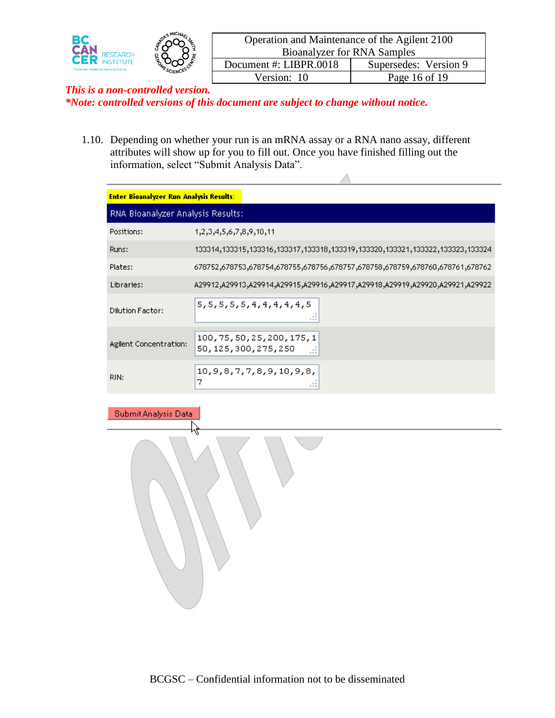

 $\triangle$ 

### *This is a non-controlled version. \*Note: controlled versions of this document are subject to change without notice.*

1.10. Depending on whether your run is an mRNA assay or a RNA nano assay, different attributes will show up for you to fill out. Once you have finished filling out the information, select "Submit Analysis Data".

| <b>Enter Bioanalyzer Run Analysis Results:</b> |                                                                                                |
|------------------------------------------------|------------------------------------------------------------------------------------------------|
| RNA Bioanalyzer Analysis Results:              |                                                                                                |
| Positions:                                     | 1,2,3,4,5,6,7,8,9,10,11                                                                        |
| Runs:                                          | 133314,133315,133316,133317,133318,133319,133320,133321,133322,133323,133324                   |
| Plates:                                        |                                                                                                |
| Libraries:                                     | A29922, A29921, A29921, A29918, A29917, A29917, A29917, A29918, A29913, A29913, A29912, A29922 |
| Dilution Factor:                               | 5, 5, 5, 5, 5, 4, 4, 4, 4, 4, 5                                                                |
| Agilent Concentration:                         | 100, 75, 50, 25, 200, 175, 1<br>50, 125, 300, 275, 250<br>m                                    |
| RIN:                                           | 10, 9, 8, 7, 7, 8, 9, 10, 9, 8,<br>7                                                           |

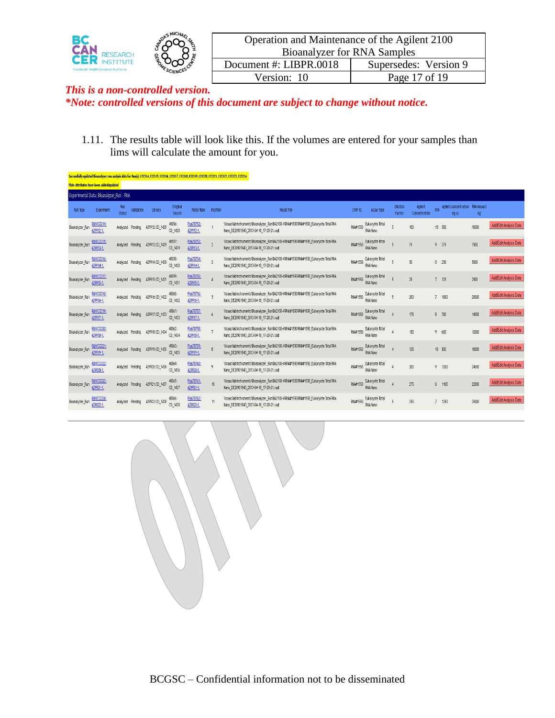

| Operation and Maintenance of the Agilent 2100 |                       |  |  |  |  |  |  |
|-----------------------------------------------|-----------------------|--|--|--|--|--|--|
| <b>Bioanalyzer for RNA Samples</b>            |                       |  |  |  |  |  |  |
| Document #: LIBPR.0018                        | Supersedes: Version 9 |  |  |  |  |  |  |
| Version: 10                                   | Page 17 of 19         |  |  |  |  |  |  |
|                                               |                       |  |  |  |  |  |  |

1.11. The results table will look like this. If the volumes are entered for your samples than lims will calculate the amount for you.

|                 |                                          |               |                  |                        |                     |                         |               | Successfully updated Bioanalyzer run analysis data for Run(s) 133314,133315,133316,133317,133318,133319,133320,133321,133322,133323,133324 |          |                             |                    |                          |                |                                           |       |                        |
|-----------------|------------------------------------------|---------------|------------------|------------------------|---------------------|-------------------------|---------------|--------------------------------------------------------------------------------------------------------------------------------------------|----------|-----------------------------|--------------------|--------------------------|----------------|-------------------------------------------|-------|------------------------|
|                 | Plate Attributes have been added/updated |               |                  |                        |                     |                         |               |                                                                                                                                            |          |                             |                    |                          |                |                                           |       |                        |
|                 | Experimental Data: Bioanalyzer Run - RNA |               |                  |                        |                     |                         |               |                                                                                                                                            |          |                             |                    |                          |                |                                           |       |                        |
| Run Type        | Experiment                               | Run<br>Status | Validation       | Library                | Original<br>Source  | Plate/Tube              | Position      | Result File                                                                                                                                | CHIP ID  | Assay Type                  | Dilution<br>Factor | Agilent<br>Concentration | RIN            | Agilent concentration RNA Amount<br>ng uL | ng    |                        |
| Bioanalyzer_Run | <b>RUN133314</b><br>A29912-1.            | Analyzed      | Pending          | A29912:CD 1428         | 40856:<br>CD 1428   | Pla678752:<br>A29912-1. |               | WisaacNabinstruments\Bioanalyzer_Run\BA2100-4\RNA#1550\RNA#1550_Eukaryote Total RNA<br>Nano DE20901540 2013-04-18 17-20-21.xad             | RNA#1550 | Eukarvote Total<br>RNA Nano |                    | 100                      |                | 10 500                                    | 10000 | Add/Edit Analysis Data |
| Bioanalyzer Run | UN133315<br>A29913-1.                    |               | Analyzed Pending | A29913:CD 1429         | 40857:<br>CD 1429   | Pla678753:<br>A29913-1. | $\gamma$      | WisaacNabinstruments\Bioanalyzer_Run\BA2100-4\RNA#1550\RNA#1550_Eukaryote Total RNA<br>Nano_DE20901540_2013-04-18_17-20-21.xad             | RNA#1550 | Eukarvote Total<br>RNA Nano | $\bar{\mathbf{z}}$ | 75                       |                | $9 - 375$                                 | 7500  | Add/Edit Analysis Data |
| Bioanalyzer Run | <b>RUN133316</b><br>A29914-1.            | Analyzed      | Pending          | A29914:CD 1430         | 40858:<br>CD 1430   | Pla678754:<br>A29914-1. | $\mathcal{R}$ | WisaacNabinstruments\Bioanalyzer_Run\BA2100-4\RNA#1550\RNA#1550_Eukaryote Total RNA<br>Nano DE20901540 2013-04-18 17-20-21.xad             | RNA#1550 | Eukaryote Total<br>RNA Nano | $\mathbf{g}$       | 50                       |                | $8 - 250$                                 | 5000  | Add/Edit Analysis Data |
| Bioanalyzer_Run | UN133317<br>A29915-1.                    |               | Analyzed Pending | A29915:CD_1431         | 40859:<br>CD 1431   | Pla678755:<br>A29915-1. |               | WisaacVabinstrumentsVBioanalyzer_RunVBA2100-4VRNA#1550VRNA#1550_Eukaryote Total RNA<br>Nano DE20901540 2013-04-18 17-20-21.xad             | RNA#1550 | Eukaryote Total<br>RNA Nano |                    | 25                       | 7              | 125                                       | 2500  | Add/Edit Analysis Data |
| Bioanalyzer_Run | <b>UN133318</b><br>A29916-1.             |               | Analyzed Pending | A29916:CD_1432         | 40860:<br>CD 1432   | Pla678756:<br>A29916-1. |               | WisaacNabinstruments\Bioanalyzer Run\BA2100-4\RNA#1550\RNA#1550 Eukaryote Total RNA<br>Nano_DE20901540_2013-04-18_17-20-21.xad             | RNA#1550 | Eukarvote Total<br>RNA Nano | $\mathbf{K}$       | 200                      |                | $7 - 1000$                                | 20000 | Add/Edit Analysis Data |
| Bioanalyzer Run | RUN133319<br>A29917-1.                   |               | Analyzed Pending | A29917:CD_1433         | 40861:<br>$CD_1433$ | Pla678757:<br>A29917-1. |               | WisaacNabinstruments\Bioanalyzer_Run\BA2100-4\RNA#1550\RNA#1550_Eukaryote Total RNA<br>Nano_DE20901540_2013-04-18_17-20-21.xad             | RNA#1550 | Eukarvote Total<br>RNA Nano |                    | 175                      |                | $8 - 700$                                 | 14000 | Add/Edit Analysis Data |
| Bioanalyzer Run | <u> UN133320</u><br>A29918-1.            | Analyzed      | Pending          | A29918:CD 1434         | 40862:<br>CD 1434   | Pla678758:<br>A29918-1. |               | WisaacNabinstruments\Bioanalyzer_Run\BA2100-4\RNA#1550\RNA#1550_Eukaryote Total RNA<br>Nano DE20901540 2013-04-18 17-20-21.xad             | RNA#1550 | Eukaryote Total<br>RNA Nano |                    | 150                      |                | 9,600                                     | 12000 | Add/Edit Analysis Data |
| Bioanalyzer_Run | <b>RUN133321</b><br>A29919-1.            | Analyzed      | Pending          | A29919:CD_1435         | 40863:<br>CD 1435   | Pla678759:<br>A29919-1. |               | WisaacNabinstruments\Bioanalyzer_Run\BA2100-4\RNA#1550\RNA#1550_Eukaryote Total RNA<br>Nano DE20901540 2013-04-18 17-20-21.xad             | RNA#1550 | Eukaryote Total<br>RNA Nano |                    | 125                      |                | 10 500                                    | 10000 | Add/Edit Analysis Data |
| Bioanalyzer_Run | UN133322<br>A29920-1.                    | Analyzed      | Pending          | A29920:CD_1436         | 40864:<br>CD 1436   | Pla678760:<br>A29920-1. |               | WisaacNabinstruments\Bioanalyzer_Run\BA2100-4\RNA#1550\RNA#1550_Eukaryote Total RNA<br>Nano_DE20901540_2013-04-18_17-20-21.xad             | RNA#1550 | Eukarvote Total<br>RNA Nano |                    | 300                      |                | $9 - 1200$                                | 24000 | Add/Edit Analysis Data |
| Bioanalyzer Run | UN133323<br>A29921-1.                    | Analyzed      |                  | Pending A29921:CD_1437 | 40865:<br>CD 1437   | Pla678761:<br>A29921-1. | 10            | WisaacNabinstruments\Bioanalyzer_Run\BA2100-4\RNA#1550\RNA#1550_Eukaryote Total RNA<br>Nano_DE20901540_2013-04-18_17-20-21.xad             | RNA#1550 | Eukaryote Total<br>RNA Nano |                    | 275                      |                | 8 1100                                    | 22000 | Add/Edit Analysis Data |
| Bioanalyzer_Run | LN133324<br>A29922-1.                    | Analvzed      | Pending          | A29922:CD_143B         | 40866:<br>CD 1438   | Pla678762:<br>A29922-1. | 11            | WisaacNabinstruments\Bioanalyzer_Run\BA2100-4\RNA#1550\RNA#1550_Eukaryote Total RNA<br>Nano_DE20901540_2013-04-18_17-20-21.xad             | RNA#1550 | Eukaryote Total<br>RNA Nano |                    | 250                      | $\overline{7}$ | 1250                                      | 25000 | Add/Edit Analysis Data |

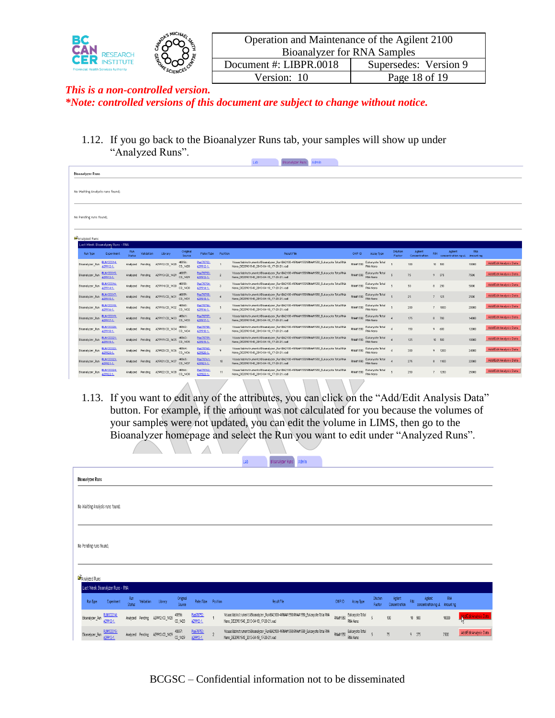

| Operation and Maintenance of the Agilent 2100 |                       |  |  |  |  |  |  |
|-----------------------------------------------|-----------------------|--|--|--|--|--|--|
| <b>Bioanalyzer for RNA Samples</b>            |                       |  |  |  |  |  |  |
| Document #: LIBPR.0018                        | Supersedes: Version 9 |  |  |  |  |  |  |
| Version: 10                                   | Page 18 of 19         |  |  |  |  |  |  |
|                                               |                       |  |  |  |  |  |  |

1.12. If you go back to the Bioanalyzer Runs tab, your samples will show up under "Analyzed Runs".

|                                 |                                  |               |                  |                |                    |                         |                | . .                                                                                                                              | <b><i><u><u>DIAMINIAPPLEMITS</u></u></i></b> | <b>PERMITTEN</b> |                 |                                    |                    |                          |            |                                          |            |                        |
|---------------------------------|----------------------------------|---------------|------------------|----------------|--------------------|-------------------------|----------------|----------------------------------------------------------------------------------------------------------------------------------|----------------------------------------------|------------------|-----------------|------------------------------------|--------------------|--------------------------|------------|------------------------------------------|------------|------------------------|
| <b>Bioanalyzer Runs</b>         |                                  |               |                  |                |                    |                         |                |                                                                                                                                  |                                              |                  |                 |                                    |                    |                          |            |                                          |            |                        |
| No Waiting Analysis runs found; |                                  |               |                  |                |                    |                         |                |                                                                                                                                  |                                              |                  |                 |                                    |                    |                          |            |                                          |            |                        |
| No Pending runs found;          |                                  |               |                  |                |                    |                         |                |                                                                                                                                  |                                              |                  |                 |                                    |                    |                          |            |                                          |            |                        |
| <b>DAnalyzed Runs</b>           |                                  |               |                  |                |                    |                         |                |                                                                                                                                  |                                              |                  |                 |                                    |                    |                          |            |                                          |            |                        |
|                                 | Last Week Bioanalyzer Runs - RNA |               |                  |                |                    |                         |                |                                                                                                                                  |                                              |                  |                 |                                    |                    |                          |            |                                          |            |                        |
| Run Type                        | Experiment                       | Run<br>Status | Validation       | Library        | Original<br>Source | Plate/Tube              | Position       |                                                                                                                                  | Result File                                  |                  | CHIP ID         | Assay Type                         | Dilution<br>Factor | Agilent<br>Concentration | <b>RIN</b> | Agilent<br>concentration ng uL Amount ng | <b>RNA</b> |                        |
| Bioanalyzer_Run                 | <b>RUN133314</b><br>A29912-1.    | Analyzed      | Pending          | A29912:CD_1428 | 40856:<br>CD_1428  | Pla678752:<br>A29912-1. |                | WsaacNabinstruments\Bioanalyzer_Run\BA2100-4\RNA#1550\RNA#1550_Eukaryote Total RNA<br>Nano_DE20901540_2013-04-18_17-20-21.xad    |                                              |                  | <b>RNA#1550</b> | Eukaryote Total<br><b>RNA Nano</b> |                    | 100                      |            | 10 500                                   | 10000      | Add/Edit Analysis Data |
| Bioanalyzer_Run                 | <b>RUN133315</b><br>429913-1.    |               | Analyzed Pending | A29913:CD 1429 | 40857:<br>CD 1429  | Pla678753:<br>A29913-1. | $\overline{2}$ | \\isaac\\abinstruments\Bioanalyzer_Run\BA2100-4\RNA#1550\RNA#1550_Eukaryote Total RNA<br>Nano_DE20901540_2013-04-18_17-20-21.xad |                                              |                  | RNA#1550        | Eukaryote Total<br>RNA Nano        |                    | 75                       | 9 375      |                                          | 7500       | Add/Edit Analysis Data |
| Bioanalyzer_Run                 | RUN133316<br>29914-1.            |               | Analyzed Pending | A29914:CD 1430 | 40858:<br>CD 1430  | Pla678754:<br>A29914-1. | $\alpha$       | WisaacNabinstruments\Bioanalyzer_Run\BA2100-4\RNA#1550\RNA#1550_Eukaryote Total RNA<br>Nano_DE20901540_2013-04-18_17-20-21.xad   |                                              |                  | RNA#1550        | Eukaryote Total<br><b>RNA Nano</b> |                    | 50                       | 8 250      |                                          | 5000       | Add/Edit Analysis Data |
| Bioanalyzer_Run                 | <b>RUN133317</b><br>A29915-1.    |               | Analyzed Pending | A29915:CD_1431 | 40859:<br>CD_1431  | Pla678755:<br>A29915-1. |                | WsaacNabinstruments\Bioanalyzer_Run\BA2100-4\RNA#1550\RNA#1550_Eukaryote Total RNA<br>Nano_DE20901540_2013-04-18_17-20-21.xad    |                                              |                  | <b>RNA#1550</b> | Eukaryote Total<br><b>RNA Nano</b> |                    | 25                       |            | $7 - 125$                                | 2500       | Add/Edit Analysis Data |
| Bioanalyzer_Run                 | <b>RUN133318</b><br>A29916-1.    |               | Analyzed Pending | A29916:CD_1432 | 40860:<br>CD_1432  | Pla678756:<br>A29916-1. |                | WisaacNabinstruments\Bioanalyzer_Run\BA2100-4\RNA#1550\RNA#1550_Eukaryote Total RNA<br>Nano_DE20901540_2013-04-18_17-20-21.xad   |                                              |                  | RNA#1550        | Eukaryote Total<br>RNA Nano        |                    | 200                      |            | 7 1000                                   | 20000      | Add/Edit Analysis Data |
| Bioanalyzer_Run                 | <b>RUN133319</b><br>129917-1.    | Analyzed      | Pending          | A29917:CD 1433 | 40861:<br>CD 1433  | Pla678757:<br>A29917-1. |                | WisaacNabinstruments\Bioanalyzer_Run\BA2100-4\RNA#1550\RNA#1550_Eukaryote Total RNA<br>Nano_DE20901540_2013-04-18_17-20-21.xad   |                                              |                  | RNA#1550        | Eukaryote Total<br><b>RNA Nano</b> |                    | 175                      | $8 - 700$  |                                          | 14000      | Add/Edit Analysis Data |
| Bioanalyzer Run                 | <b>PLIN133320</b><br>29918-1     | Analyzed      | Pending          | A29918:CD 1434 | 40862:<br>CD 1434  | Pla678758:<br>A29918-1. | -7             | Wisaac Vabinstruments 'Bioanalyzer_Run\BA2100-4\RNA#1550\RNA#1550_Eukaryote Total RNA<br>Nano DE20901540 2013-04-18 17-20-21.xad |                                              |                  | <b>RNA#1550</b> | Eukaryote Total<br><b>RNA Nano</b> |                    | 150                      | 9.600      |                                          | 12000      | Add/Edit Analysis Data |
| Bioanalyzer_Run                 | RUN133321:<br>A29919-1.          |               | Analyzed Pending | A29919:CD_1435 | 40863:<br>CD 1435  | Pla678759:<br>A29919-1. |                | WsaacNabinstruments\Bioanalyzer_Run\BA2100-4\RNA#1550\RNA#1550_Eukaryote Total RNA<br>Nano_DE20901540_2013-04-18_17-20-21.xad    |                                              |                  | RNA#1550        | Eukaryote Total<br>RNA Nano        |                    | 125                      |            | 10 500                                   | 10000      | Add/Edit Analysis Data |
| Bioanalyzer_Run                 | <b>RUN133322</b><br>129920-1.    |               | Analyzed Pending | A29920:CD_1436 | 40864:<br>CD 1436  | Pla678760:<br>A29920-1. |                | WisaacNabinstruments\Bioanalyzer_Run\BA2100-4\RNA#1550\RNA#1550_Eukaryote Total RNA<br>Nano_DE20901540_2013-04-18_17-20-21.xad   |                                              |                  | RNA#1550        | Eukaryote Total<br>RNA Nano        |                    | 300                      |            | 9 1200                                   | 24000      | Add/Edit Analysis Data |
| Bioanalyzer Run                 | <b>RLIN133323</b><br>A29921-1.   | Analyzed      | Pending          | A29921:CD 1437 | 40865:<br>CD 1437  | Pla678761:<br>A29921-1. | 10             | Wisaac Vabinstruments Bioanalyzer Run/BA2100-4\RNA#1550\RNA#1550 Eukaryote Total RNA<br>Nano DE20901540 2013-04-18 17-20-21.xad  |                                              |                  | <b>RNA#1550</b> | Eukaryote Total<br><b>RNA Nano</b> |                    | 275                      |            | 8 1100                                   | 22000      | Add/Edit Analysis Data |
| Bioanalyzer_Run                 | <b>8JN133324</b><br>29922-1.     |               | Analyzed Pending | A29922:CD_1438 | 40866<br>CD_1438   | Pla678762:<br>A29922-1. | 11             | WsaacNabinstruments\Bioanalyzer_Run\BA2100-4\RNA#1550\RNA#1550_Eukaryote Total RNA<br>Nano_DE20901540_2013-04-18_17-20-21.xad    |                                              |                  | <b>RNA#1550</b> | Eukaryote Total<br><b>RNA Nano</b> |                    | 250                      |            | $7 - 1250$                               | 25000      | Add/Edit Analysis Data |
|                                 |                                  |               |                  |                |                    |                         |                |                                                                                                                                  |                                              |                  |                 |                                    |                    |                          |            |                                          |            |                        |

1.13. If you want to edit any of the attributes, you can click on the "Add/Edit Analysis Data" button. For example, if the amount was not calculated for you because the volumes of your samples were not updated, you can edit the volume in LIMS, then go to the Bioanalyzer homepage and select the Run you want to edit under "Analyzed Runs".

 $\mathbb A$ 

|                                                   |                                                                                           | Lab<br>Admin<br>Bioanalyzer Runs                                                                                              |                                                                               |                                               |
|---------------------------------------------------|-------------------------------------------------------------------------------------------|-------------------------------------------------------------------------------------------------------------------------------|-------------------------------------------------------------------------------|-----------------------------------------------|
| <b>Bioanalyzer Runs</b>                           |                                                                                           |                                                                                                                               |                                                                               |                                               |
| No Waiting Analysis runs found;                   |                                                                                           |                                                                                                                               |                                                                               |                                               |
| No Pending runs found;                            |                                                                                           |                                                                                                                               |                                                                               |                                               |
|                                                   |                                                                                           |                                                                                                                               |                                                                               |                                               |
| <b>B</b> Analyzed Runs                            |                                                                                           |                                                                                                                               |                                                                               |                                               |
| Last Week Bioanalyzer Runs - RNA                  |                                                                                           |                                                                                                                               |                                                                               |                                               |
| Rin Type<br>Experiment                            | Run<br>Original<br>Plate/Tube Position<br>Validation<br>Library<br>Status<br>Source       | Result File                                                                                                                   | Dilution<br>Agient<br>RIN<br>CHIP ID<br>Assay Type<br>Factor<br>Concentration | RW<br>Agient<br>concentration ng uL Amount ng |
| <b>RUN133314:</b><br>Bioanalyzer_Run<br>A29912-1. | Pla678752:<br>40856:<br>Analyzed Pending A29912:CD_1428<br>00_1428<br>A29912-1.           | NisaacNabinstruments\Bioanalyzer_Run\BA2100-4RNA#1550\RNA#1550_Eukaryote Total RNA<br>Nano_DE20901540_2013-04-18_17-20-21.xad | Eukaryote Total<br>RNA#1550<br>$100$<br>$10 - 500$<br>5<br>RNA Nano           | dd'EditAnalysis Data<br>10000                 |
| <b>RUN133315:</b><br>Bioanalyzer_Run<br>A29913-1. | Pla678753:<br>40857:<br>Analyzed Pending A29913:00_1429<br>$\sim$<br>CD_1429<br>A29913-1. | NisaacNabinstruments'Bioanalyzer_Run\BA2100-40NA#1550\RNA#1550_Eukaryote Total RNA<br>Nano_DE20901540_2013-04-18_17-20-21.xad | Eukaryote Total<br>$75\,$<br>RNA#1550<br>5<br>$9 - 375$<br>RNA Nano           | Add/EditAnalysis Data<br>7500                 |

BCGSC – Confidential information not to be disseminated